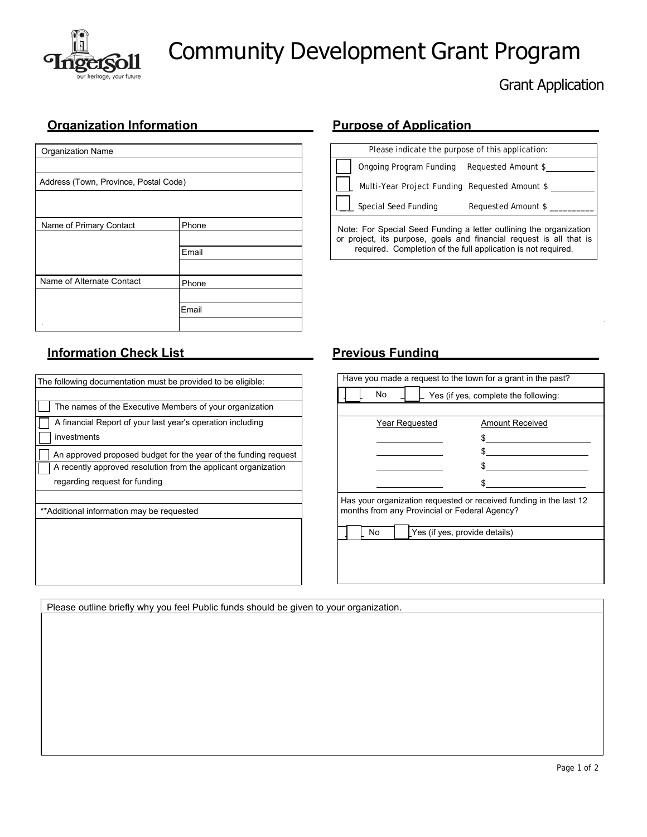

# Community Development Grant Program

# Grant Application

### **Organization Information Purpose of Application Purpose of Application**

| <b>Organization Name</b>              |       |  |
|---------------------------------------|-------|--|
|                                       |       |  |
| Address (Town, Province, Postal Code) |       |  |
|                                       |       |  |
|                                       |       |  |
| Name of Primary Contact               | Phone |  |
|                                       |       |  |
|                                       | Email |  |
|                                       |       |  |
| Name of Alternate Contact             | Phone |  |
|                                       |       |  |
|                                       | Email |  |
|                                       |       |  |

## **Information Check List Previous Funding**

| Have you made a request to the town for a grant in the past?                                                        |                                      |  |  |
|---------------------------------------------------------------------------------------------------------------------|--------------------------------------|--|--|
| No                                                                                                                  | Yes (if yes, complete the following: |  |  |
|                                                                                                                     |                                      |  |  |
| Year Requested                                                                                                      | Amount Received                      |  |  |
|                                                                                                                     | \$                                   |  |  |
|                                                                                                                     | \$                                   |  |  |
|                                                                                                                     | \$                                   |  |  |
|                                                                                                                     | \$.                                  |  |  |
| Has your organization requested or received funding in the last 12<br>months from any Provincial or Federal Agency? |                                      |  |  |
| Yes (if yes, provide details)<br>No                                                                                 |                                      |  |  |
|                                                                                                                     |                                      |  |  |
|                                                                                                                     |                                      |  |  |
|                                                                                                                     |                                      |  |  |
|                                                                                                                     |                                      |  |  |

Please indicate the purpose of this application: Ongoing Program Funding Requested Amount \$ Multi-Year Project Funding Requested Amount \$ Special Seed Funding Requested Amount \$

Note: For Special Seed Funding a letter outlining the organization or project, its purpose, goals and financial request is all that is required. Completion of the full application is not required.

Please outline briefly why you feel Public funds should be given to your organization.